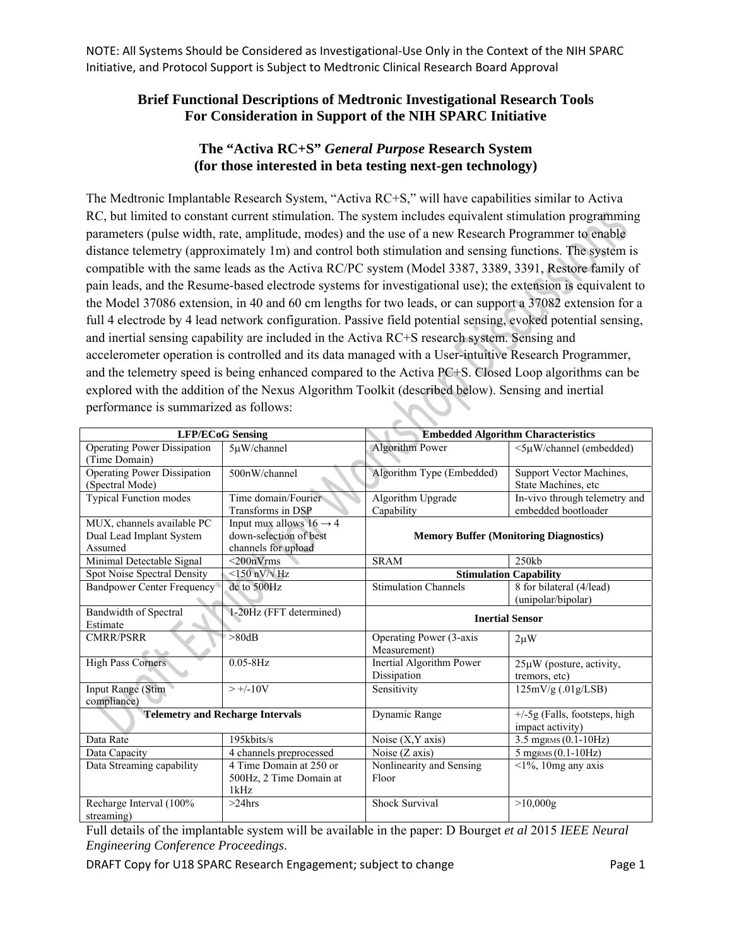## **Brief Functional Descriptions of Medtronic Investigational Research Tools For Consideration in Support of the NIH SPARC Initiative**

## **The "Activa RC+S"** *General Purpose* **Research System (for those interested in beta testing next-gen technology)**

The Medtronic Implantable Research System, "Activa RC+S," will have capabilities similar to Activa RC, but limited to constant current stimulation. The system includes equivalent stimulation programming parameters (pulse width, rate, amplitude, modes) and the use of a new Research Programmer to enable distance telemetry (approximately 1m) and control both stimulation and sensing functions. The system is compatible with the same leads as the Activa RC/PC system (Model 3387, 3389, 3391, Restore family of pain leads, and the Resume-based electrode systems for investigational use); the extension is equivalent to the Model 37086 extension, in 40 and 60 cm lengths for two leads, or can support a 37082 extension for a full 4 electrode by 4 lead network configuration. Passive field potential sensing, evoked potential sensing, and inertial sensing capability are included in the Activa RC+S research system. Sensing and accelerometer operation is controlled and its data managed with a User-intuitive Research Programmer, and the telemetry speed is being enhanced compared to the Activa PC+S. Closed Loop algorithms can be explored with the addition of the Nexus Algorithm Toolkit (described below). Sensing and inertial performance is summarized as follows:

| <b>LFP/ECoG Sensing</b>            |                                     | <b>Embedded Algorithm Characteristics</b>     |                                 |
|------------------------------------|-------------------------------------|-----------------------------------------------|---------------------------------|
| Operating Power Dissipation        | $5\mu$ W/channel                    | <b>Algorithm Power</b>                        | $\leq$ 5µW/channel (embedded)   |
| (Time Domain)                      |                                     |                                               |                                 |
| <b>Operating Power Dissipation</b> | 500nW/channel                       | Algorithm Type (Embedded)                     | Support Vector Machines,        |
| (Spectral Mode)                    |                                     |                                               | State Machines, etc             |
| <b>Typical Function modes</b>      | Time domain/Fourier                 | Algorithm Upgrade                             | In-vivo through telemetry and   |
|                                    | Transforms in DSP                   | Capability                                    | embedded bootloader             |
| MUX, channels available PC         | Input mux allows $16 \rightarrow 4$ |                                               |                                 |
| Dual Lead Implant System           | down-selection of best              | <b>Memory Buffer (Monitoring Diagnostics)</b> |                                 |
| Assumed                            | channels for upload                 |                                               |                                 |
| Minimal Detectable Signal          | $<$ 200nVrms                        | <b>SRAM</b>                                   | $250$ kb                        |
| Spot Noise Spectral Density        | $<150$ nV/ $\sqrt{Hz}$              | <b>Stimulation Capability</b>                 |                                 |
| <b>Bandpower Center Frequency</b>  | de to 500Hz                         | <b>Stimulation Channels</b>                   | 8 for bilateral (4/lead)        |
|                                    |                                     |                                               | (unipolar/bipolar)              |
| Bandwidth of Spectral              | 1-20Hz (FFT determined)             | <b>Inertial Sensor</b>                        |                                 |
| Estimate                           |                                     |                                               |                                 |
| <b>CMRR/PSRR</b>                   | >80dB                               | Operating Power (3-axis                       | $2\mu W$                        |
|                                    |                                     | Measurement)                                  |                                 |
| <b>High Pass Corners</b>           | $0.05 - 8$ Hz                       | Inertial Algorithm Power                      | $25\mu$ W (posture, activity,   |
|                                    |                                     | Dissipation                                   | tremors, etc)                   |
| <b>Input Range (Stim)</b>          | $> +/-10V$                          | Sensitivity                                   | 125mV/g (.01g/LSB)              |
| compliance)                        |                                     |                                               |                                 |
| Telemetry and Recharge Intervals   |                                     | Dynamic Range                                 | $+/-5g$ (Falls, footsteps, high |
|                                    |                                     |                                               | impact activity)                |
| Data Rate                          | 195kbits/s                          | Noise $(X, Y \text{ axis})$                   | 3.5 mgRMS (0.1-10Hz)            |
| Data Capacity                      | 4 channels preprocessed             | Noise (Z axis)                                | 5 mgRMS (0.1-10Hz)              |
| Data Streaming capability          | 4 Time Domain at 250 or             | Nonlinearity and Sensing                      | $\leq$ 1%, 10mg any axis        |
|                                    | 500Hz, 2 Time Domain at             | Floor                                         |                                 |
|                                    | 1kHz                                |                                               |                                 |
| Recharge Interval (100%            | $>24$ hrs                           | <b>Shock Survival</b>                         | >10,000g                        |
| streaming)                         |                                     |                                               |                                 |

Full details of the implantable system will be available in the paper: D Bourget *et al* 2015 *IEEE Neural Engineering Conference Proceedings*.

DRAFT Copy for U18 SPARC Research Engagement; subject to change Page 1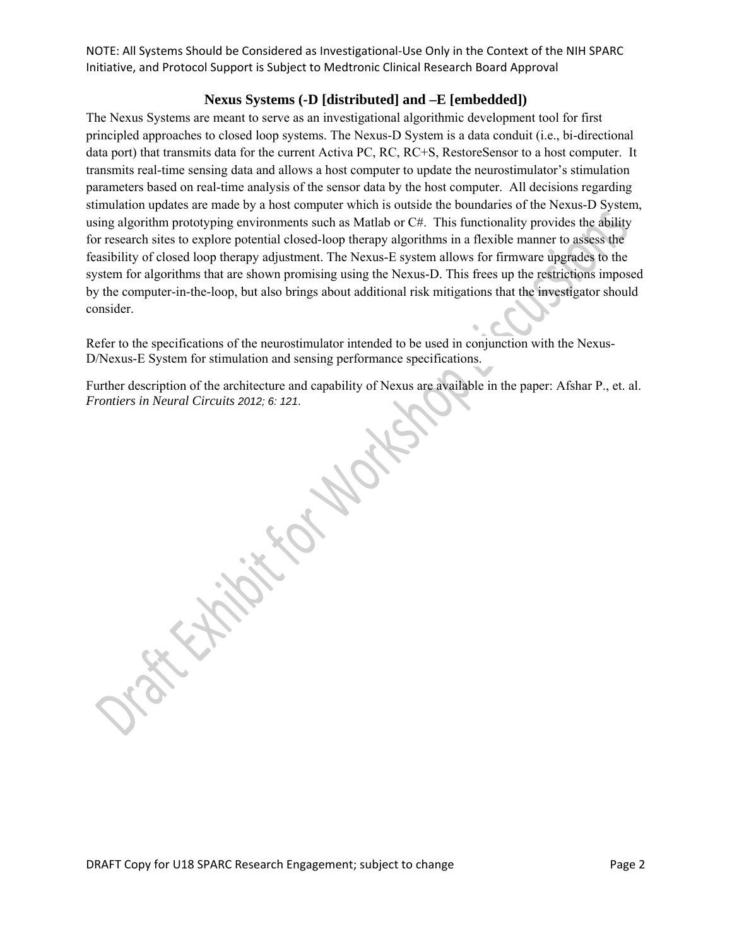## **Nexus Systems (-D [distributed] and –E [embedded])**

The Nexus Systems are meant to serve as an investigational algorithmic development tool for first principled approaches to closed loop systems. The Nexus-D System is a data conduit (i.e., bi-directional data port) that transmits data for the current Activa PC, RC, RC+S, RestoreSensor to a host computer. It transmits real-time sensing data and allows a host computer to update the neurostimulator's stimulation parameters based on real-time analysis of the sensor data by the host computer. All decisions regarding stimulation updates are made by a host computer which is outside the boundaries of the Nexus-D System, using algorithm prototyping environments such as Matlab or C#. This functionality provides the ability for research sites to explore potential closed-loop therapy algorithms in a flexible manner to assess the feasibility of closed loop therapy adjustment. The Nexus-E system allows for firmware upgrades to the system for algorithms that are shown promising using the Nexus-D. This frees up the restrictions imposed by the computer-in-the-loop, but also brings about additional risk mitigations that the investigator should consider.

Refer to the specifications of the neurostimulator intended to be used in conjunction with the Nexus-D/Nexus-E System for stimulation and sensing performance specifications.

Further description of the architecture and capability of Nexus are available in the paper: Afshar P., et. al. *Frontiers in Neural Circuits 2012; 6: 121*.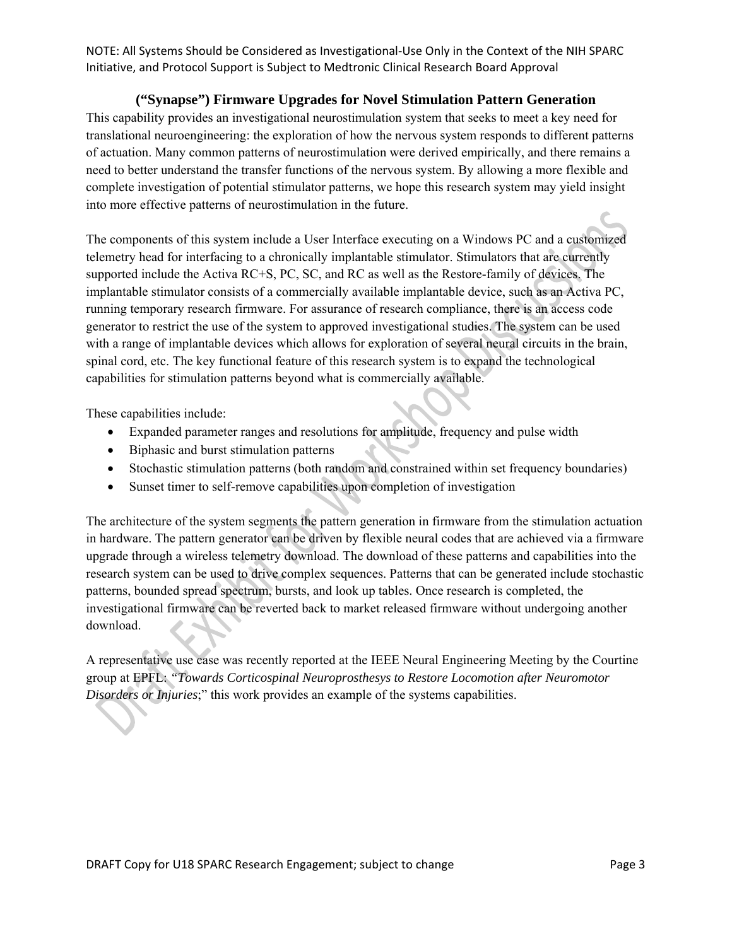## **("Synapse") Firmware Upgrades for Novel Stimulation Pattern Generation**

This capability provides an investigational neurostimulation system that seeks to meet a key need for translational neuroengineering: the exploration of how the nervous system responds to different patterns of actuation. Many common patterns of neurostimulation were derived empirically, and there remains a need to better understand the transfer functions of the nervous system. By allowing a more flexible and complete investigation of potential stimulator patterns, we hope this research system may yield insight into more effective patterns of neurostimulation in the future.

The components of this system include a User Interface executing on a Windows PC and a customized telemetry head for interfacing to a chronically implantable stimulator. Stimulators that are currently supported include the Activa RC+S, PC, SC, and RC as well as the Restore-family of devices. The implantable stimulator consists of a commercially available implantable device, such as an Activa PC, running temporary research firmware. For assurance of research compliance, there is an access code generator to restrict the use of the system to approved investigational studies. The system can be used with a range of implantable devices which allows for exploration of several neural circuits in the brain, spinal cord, etc. The key functional feature of this research system is to expand the technological capabilities for stimulation patterns beyond what is commercially available.

These capabilities include:

- Expanded parameter ranges and resolutions for amplitude, frequency and pulse width
- Biphasic and burst stimulation patterns
- Stochastic stimulation patterns (both random and constrained within set frequency boundaries)
- Sunset timer to self-remove capabilities upon completion of investigation

The architecture of the system segments the pattern generation in firmware from the stimulation actuation in hardware. The pattern generator can be driven by flexible neural codes that are achieved via a firmware upgrade through a wireless telemetry download. The download of these patterns and capabilities into the research system can be used to drive complex sequences. Patterns that can be generated include stochastic patterns, bounded spread spectrum, bursts, and look up tables. Once research is completed, the investigational firmware can be reverted back to market released firmware without undergoing another download.

A representative use case was recently reported at the IEEE Neural Engineering Meeting by the Courtine group at EPFL: *"Towards Corticospinal Neuroprosthesys to Restore Locomotion after Neuromotor Disorders or Injuries*;" this work provides an example of the systems capabilities.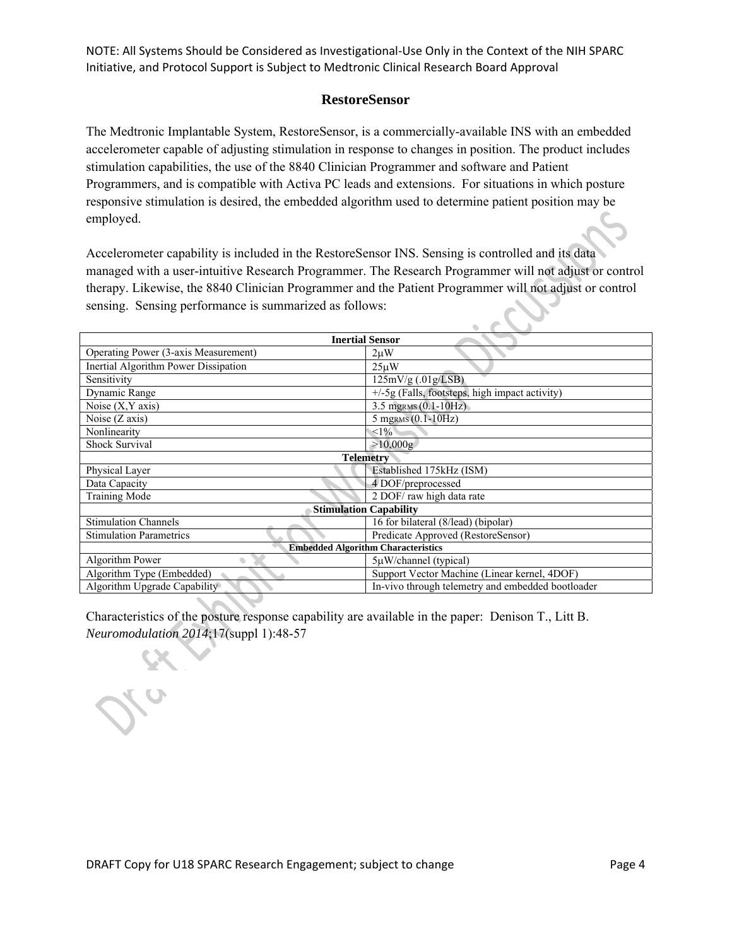#### **RestoreSensor**

The Medtronic Implantable System, RestoreSensor, is a commercially-available INS with an embedded accelerometer capable of adjusting stimulation in response to changes in position. The product includes stimulation capabilities, the use of the 8840 Clinician Programmer and software and Patient Programmers, and is compatible with Activa PC leads and extensions. For situations in which posture responsive stimulation is desired, the embedded algorithm used to determine patient position may be employed.

Accelerometer capability is included in the RestoreSensor INS. Sensing is controlled and its data managed with a user-intuitive Research Programmer. The Research Programmer will not adjust or control therapy. Likewise, the 8840 Clinician Programmer and the Patient Programmer will not adjust or control sensing. Sensing performance is summarized as follows:

| <b>Inertial Sensor</b>                    |                                                   |  |  |
|-------------------------------------------|---------------------------------------------------|--|--|
| Operating Power (3-axis Measurement)      | $2\mu W$                                          |  |  |
| Inertial Algorithm Power Dissipation      | $25\mu W$                                         |  |  |
| Sensitivity                               | 125mV/g (.01g/LSB)                                |  |  |
| Dynamic Range                             | +/-5g (Falls, footsteps, high impact activity)    |  |  |
| Noise $(X, Y \text{ axis})$               | 3.5 mg $RMS(0.1-10Hz)$                            |  |  |
| Noise $(Z \text{ axis})$                  | 5 mgRMS (0.1-10Hz)                                |  |  |
| Nonlinearity                              | <1%                                               |  |  |
| Shock Survival                            | >10,000g                                          |  |  |
| <b>Telemetry</b>                          |                                                   |  |  |
| Physical Layer                            | Established 175kHz (ISM)                          |  |  |
| Data Capacity                             | 4 DOF/preprocessed                                |  |  |
| <b>Training Mode</b>                      | 2 DOF/raw high data rate                          |  |  |
| <b>Stimulation Capability</b>             |                                                   |  |  |
| <b>Stimulation Channels</b>               | 16 for bilateral (8/lead) (bipolar)               |  |  |
| <b>Stimulation Parametrics</b>            | Predicate Approved (RestoreSensor)                |  |  |
| <b>Embedded Algorithm Characteristics</b> |                                                   |  |  |
| Algorithm Power                           | $5\mu$ W/channel (typical)                        |  |  |
| Algorithm Type (Embedded)                 | Support Vector Machine (Linear kernel, 4DOF)      |  |  |
| Algorithm Upgrade Capability              | In-vivo through telemetry and embedded bootloader |  |  |
|                                           |                                                   |  |  |

Characteristics of the posture response capability are available in the paper: Denison T., Litt B. *Neuromodulation 2014*;17(suppl 1):48-57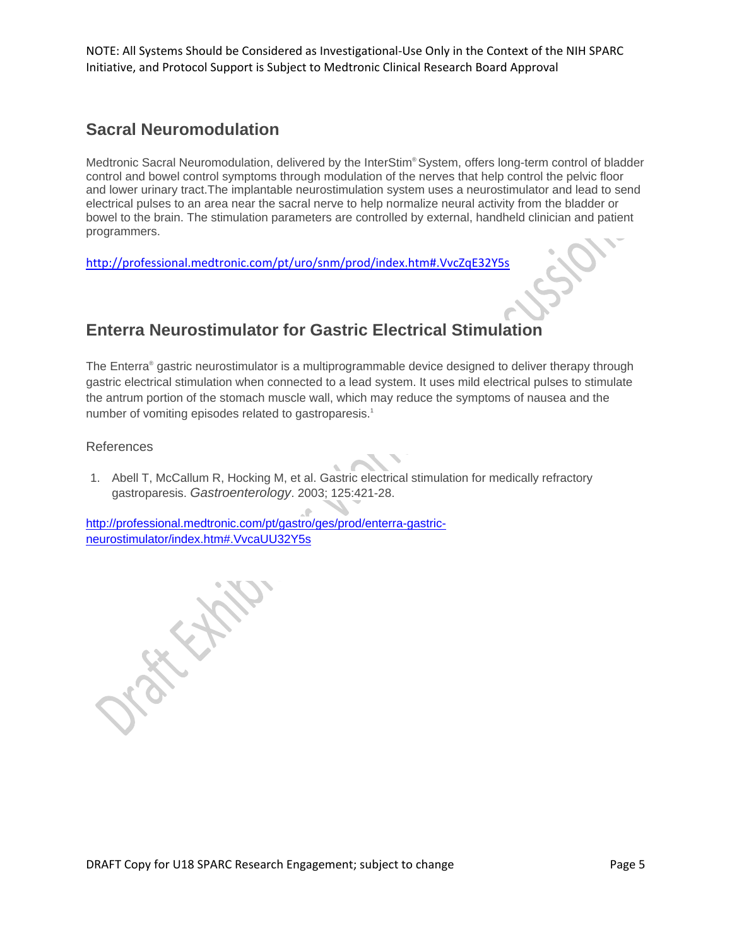## **Sacral Neuromodulation**

Medtronic Sacral Neuromodulation, delivered by the InterStim® System, offers long-term control of bladder control and bowel control symptoms through modulation of the nerves that help control the pelvic floor and lower urinary tract.The implantable neurostimulation system uses a neurostimulator and lead to send electrical pulses to an area near the sacral nerve to help normalize neural activity from the bladder or bowel to the brain. The stimulation parameters are controlled by external, handheld clinician and patient programmers.

http://professional.medtronic.com/pt/uro/snm/prod/index.htm#.VvcZqE32Y5s

# **Enterra Neurostimulator for Gastric Electrical Stimulation**

The Enterra® gastric neurostimulator is a multiprogrammable device designed to deliver therapy through gastric electrical stimulation when connected to a lead system. It uses mild electrical pulses to stimulate the antrum portion of the stomach muscle wall, which may reduce the symptoms of nausea and the number of vomiting episodes related to gastroparesis.<sup>1</sup>

References

1. Abell T, McCallum R, Hocking M, et al. Gastric electrical stimulation for medically refractory

 $\bullet$ http://professional.medtronic.com/pt/gastro/ges/prod/enterra-gastric ֦֘ neurostimulator/index.htm#.VvcaUU32Y5s